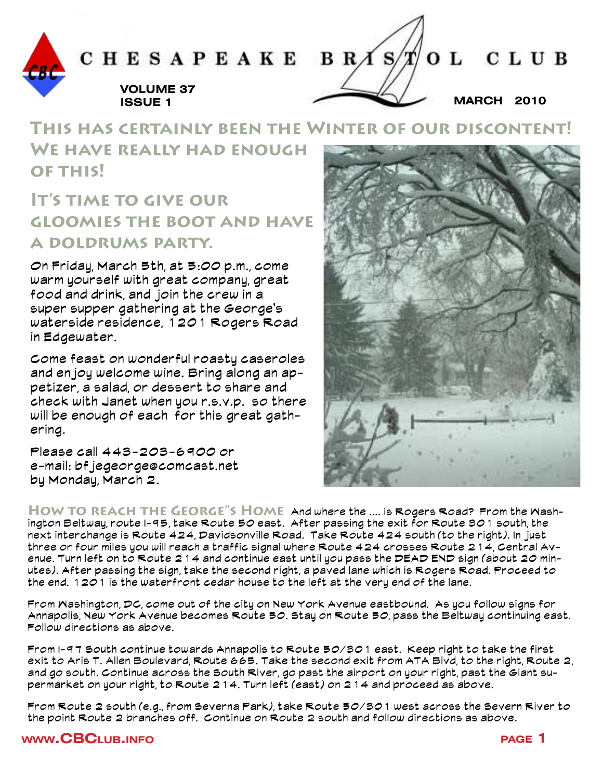

## **This has certainly been the Winter of our discontent! We have really had enough of this!**

## **It's time to give our gloomies the boot and have a doldrums party.**

On Friday, March 5th, at 5:00 p.m., come warm yourself with great company, great food and drink, and join the crew in a super supper gathering at the George's waterside residence, 1201 Rogers Road in Edgewater.

Come feast on wonderful roasty caseroles and enjoy welcome wine. Bring along an appetizer, a salad, or dessert to share and check with Janet when you r.s.v.p. so there will be enough of each for this great gathering.

Please call 443-203-6900 or e-mail: bf jegeorge@comcast.net by Monday, March 2.

**How to reach the George"s Home** And where the .... is Rogers Road? From the Washington Beltway, route I-95, take Route 50 east. After passing the exit for Route 301 south, the next interchange is Route 424, Davidsonville Road. Take Route 424 south (to the right). In just three or four miles you will reach a traffic signal where Route 424 crosses Route 214, Central Avenue. Turn left on to Route 214 and continue east until you pass the DEAD END sign (about 20 minutes). After passing the sign, take the second right, a paved lane which is Rogers Road. Proceed to the end. 1201 is the waterfront cedar house to the left at the very end of the lane.

From Washington, DC, come out of the city on New York Avenue eastbound. As you follow signs for Annapolis, New York Avenue becomes Route 50. Stay on Route 50, pass the Beltway continuing east. Follow directions as above.

From I-97 South continue towards Annapolis to Route 50/301 east. Keep right to take the first exit to Aris T. Allen Boulevard, Route 665. Take the second exit from ATA Blvd, to the right, Route 2, and go south. Continue across the South River, go past the airport on your right, past the Giant supermarket on your right, to Route 214. Turn left (east) on 214 and proceed as above.

From Route 2 south (e.g., from Severna Park), take Route 50/301 west across the Severn River to the point Route 2 branches off. Continue on Route 2 south and follow directions as above.

#### **www.CBC**LUB.INFO **page 1**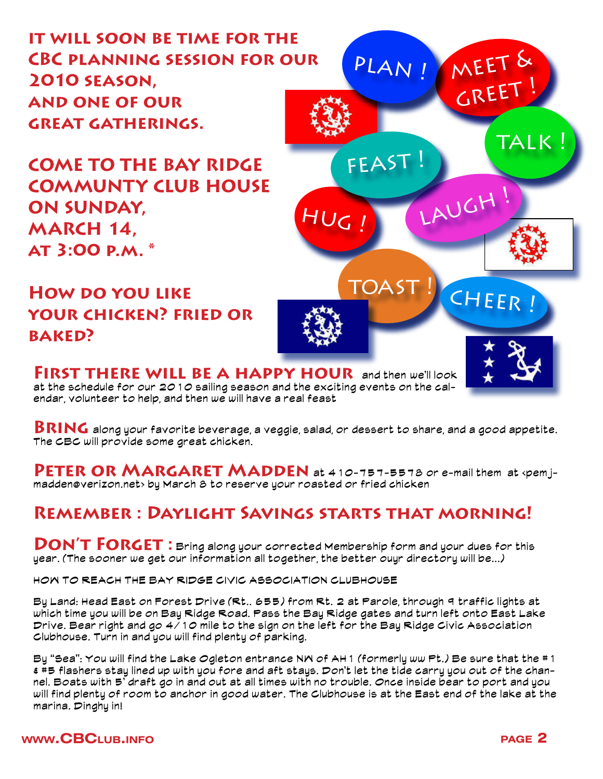**it will soon be time for the CBC planning session for our 2010 season, and one of our great gatherings.**

**COME TO THE BAY RIDGE COMMUNTY CLUB HOUSE ON SUNDAY, MARCH 14, at 3:00 p.m. \***

**How do you like your chicken? fried or baked?**

**FIRST THERE WILL BE A HAPPY HOUR** and then we'll look at the schedule for our 2010 sailing season and the exciting events on the calendar, volunteer to help, and then we will have a real feast

**Bring** along your favorite beverage, a veggie, salad, or dessert to share, and a good appetite. The CBC will provide some great chicken.

**PETER OR MARGARET MADDEN** at 410-757-5578 or e-mail them at <pemjmadden@verizon.net> by March 8 to reserve your roasted or fried chicken

### **Remember : Daylight Savings starts that morning!**

**DON'T FORGET:** Bring along your corrected Membership form and your dues for this year. (The sooner we get our information all together, the better ouyr directory will be...)

HOW TO REACH THE BAY RIDGE CIVIC ASSOCIATION CLUBHOUSE

By Land: Head East on Forest Drive (Rt.. 655) from Rt. 2 at Parole, through 9 traffic lights at which time you will be on Bay Ridge Road. Pass the Bay Ridge gates and turn left onto East Lake Drive. Bear right and go 4/10 mile to the sign on the left for the Bay Ridge Civic Association Clubhouse. Turn in and you will find plenty of parking.

By "Sea": You will find the Lake Ogleton entrance NW of AH1 (formerly ww Pt.) Be sure that the #1 & #5 flashers stay lined up with you fore and aft stays. Don't let the tide carry you out of the channel. Boats with 5' draft go in and out at all times with no trouble. Once inside bear to port and you will find plenty of room to anchor in good water. The Clubhouse is at the East end of the lake at the marina. Dinghy in!

#### **www.CBC**LUB.INFO **page 2**

meet &

PLAN !

 $HUC_I$   $LAUCH$ !

FEAST

TOAST ! CHEER !

greet !

talk !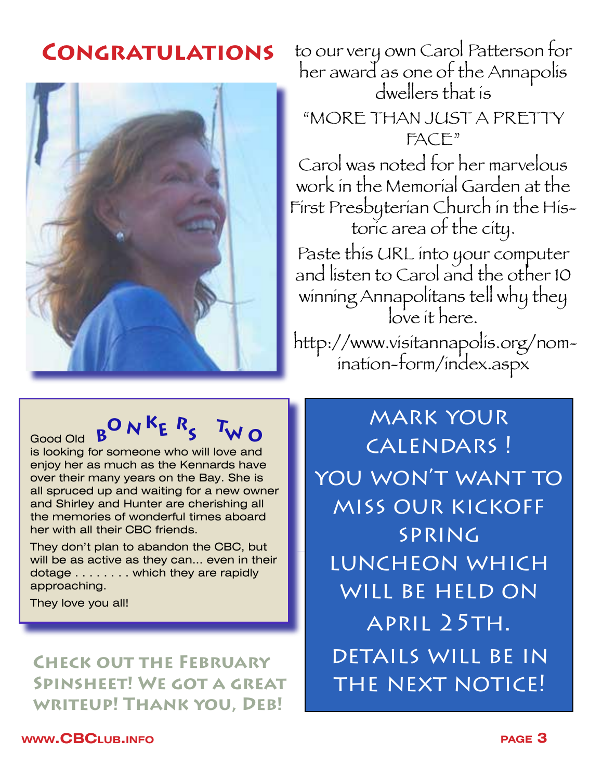## **Congratulations**



to our very own Carol Patterson for her award as one of the Annapolis dwellers that is

"MORE THAN JUST A PRETTY FACE"

Carol was noted for her marvelous work in the Memorial Garden at the First Presbyterian Church in the Historic area of the city.

Paste this URL into your computer and listen to Carol and the other 10 winning Annapolitans tell why they love it here.

 http://www.visitannapolis.org/nomination-form/index.aspx

# $B^{\mathbf{O}} N^{\mathbf{K}} E R_{\mathbf{S}}^{\mathbf{T}}$  **T**wo

Good Old **B COO** is looking for someone who will love and enjoy her as much as the Kennards have over their many years on the Bay. She is all spruced up and waiting for a new owner and Shirley and Hunter are cherishing all the memories of wonderful times aboard her with all their CBC friends.

They don't plan to abandon the CBC, but will be as active as they can... even in their dotage . . . . . . . . which they are rapidly approaching.

They love you all!

**Check out the February Spinsheet! We got a great writeup! Thank you, Deb!**

mark your calendars ! you won't want to miss our kickoff spring luncheon which will be held on april 25th. details will be in the next notice!